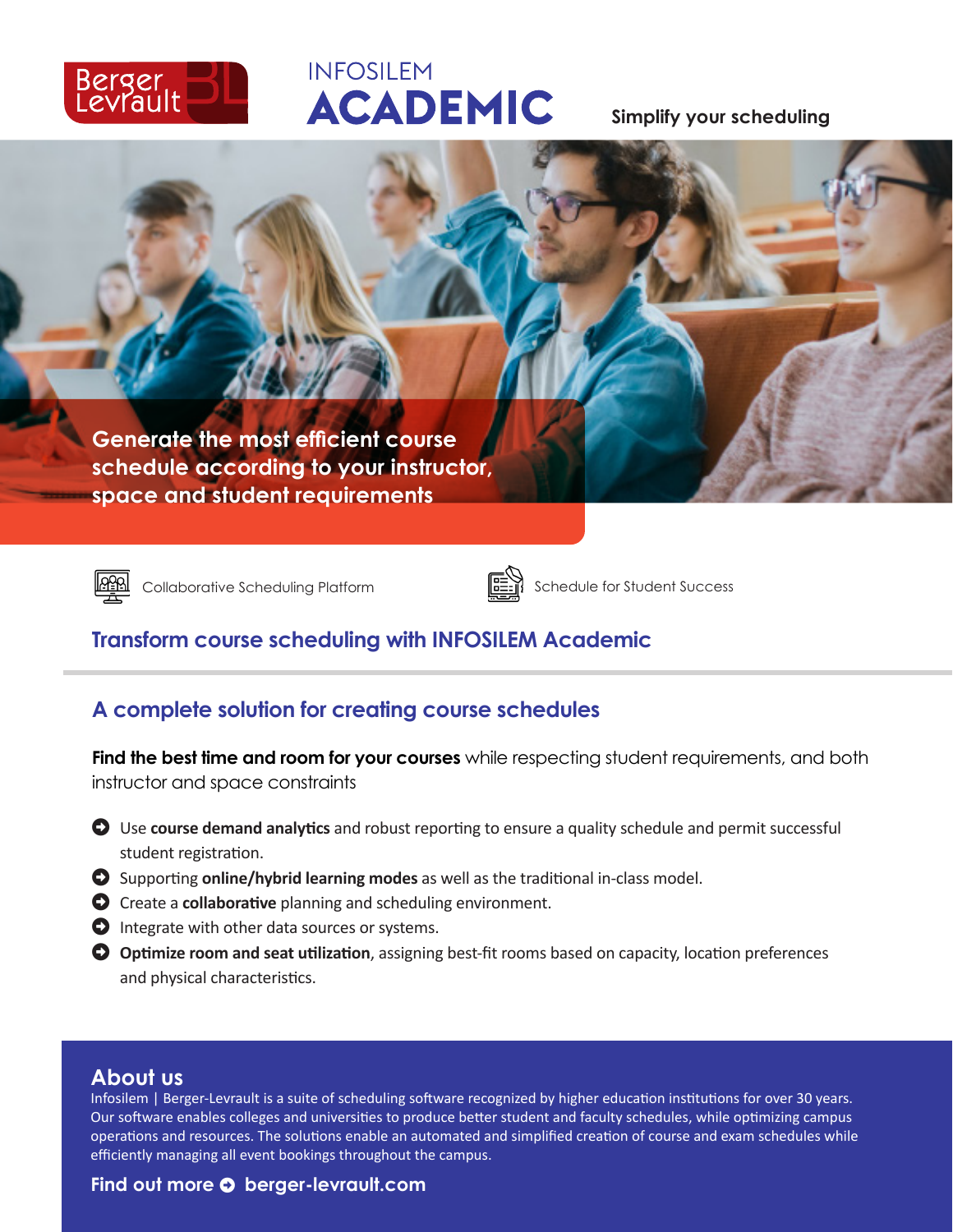

# **INFOSILEM ACADEMIC**

**Simplify your scheduling**

**Generate the most efficient course schedule according to your instructor, space and student requirements**





Collaborative Scheduling Platform Schedule for Student Success

# **Transform course scheduling with INFOSILEM Academic**

# **A complete solution for creating course schedules**

**Find the best time and room for your courses** while respecting student requirements, and both instructor and space constraints

- $\bullet$  Use **course demand analytics** and robust reporting to ensure a quality schedule and permit successful student registration.
- $\bullet$  Supporting **online/hybrid learning modes** as well as the traditional in-class model.
- **A** Create a **collaborative** planning and scheduling environment.
- $\bullet$  Integrate with other data sources or systems.
- $\bullet$  Optimize room and seat utilization, assigning best-fit rooms based on capacity, location preferences and physical characteristics.

#### **About us**

Infosilem | Berger-Levrault is a suite of scheduling software recognized by higher education institutions for over 30 years. Our software enables colleges and universities to produce better student and faculty schedules, while optimizing campus operations and resources. The solutions enable an automated and simplified creation of course and exam schedules while efficiently managing all event bookings throughout the campus.

#### Find out more  $\bullet$  berger-levrault.com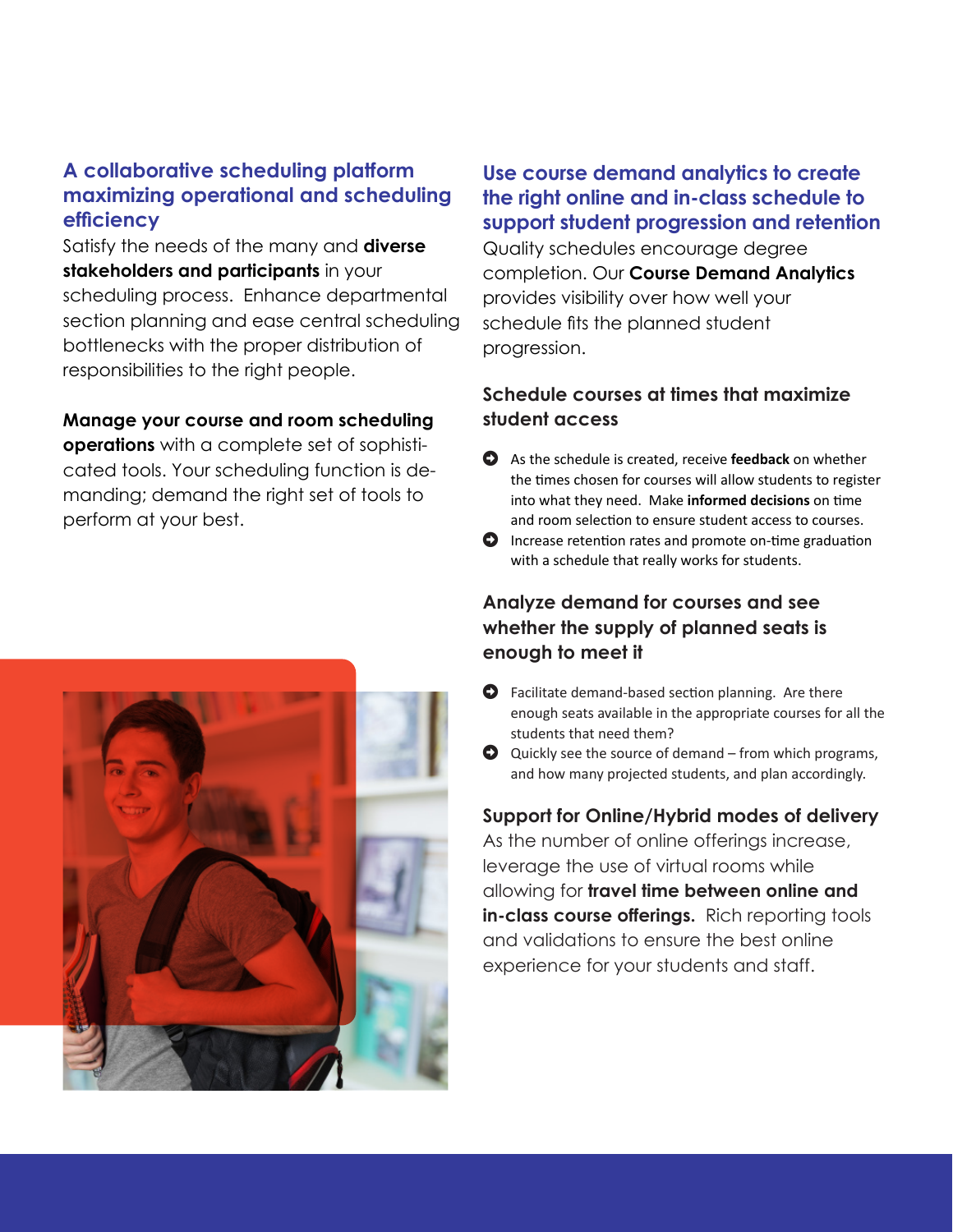## **A collaborative scheduling platform maximizing operational and scheduling efficiency**

Satisfy the needs of the many and **diverse stakeholders and participants** in your scheduling process. Enhance departmental section planning and ease central scheduling bottlenecks with the proper distribution of responsibilities to the right people.

#### **Manage your course and room scheduling**

**operations** with a complete set of sophisticated tools. Your scheduling function is demanding; demand the right set of tools to perform at your best.

**Use course demand analytics to create the right online and in-class schedule to support student progression and retention** 

Quality schedules encourage degree completion. Our **Course Demand Analytics**  provides visibility over how well your schedule fits the planned student progression.

## **Schedule courses at times that maximize student access**

- Arrow-Alterschedule is created, receive **feedback** on whether the times chosen for courses will allow students to register into what they need. Make **informed decisions** on time and room selection to ensure student access to courses.
- $\bullet$  Increase retention rates and promote on-time graduation with a schedule that really works for students.

## **Analyze demand for courses and see whether the supply of planned seats is enough to meet it**

- $\bullet$  Facilitate demand-based section planning. Are there enough seats available in the appropriate courses for all the students that need them?
- $\bullet$  Quickly see the source of demand from which programs, and how many projected students, and plan accordingly.

## **Support for Online/Hybrid modes of delivery**

As the number of online offerings increase, leverage the use of virtual rooms while allowing for **travel time between online and**  in-class course offerings. Rich reporting tools and validations to ensure the best online experience for your students and staff.

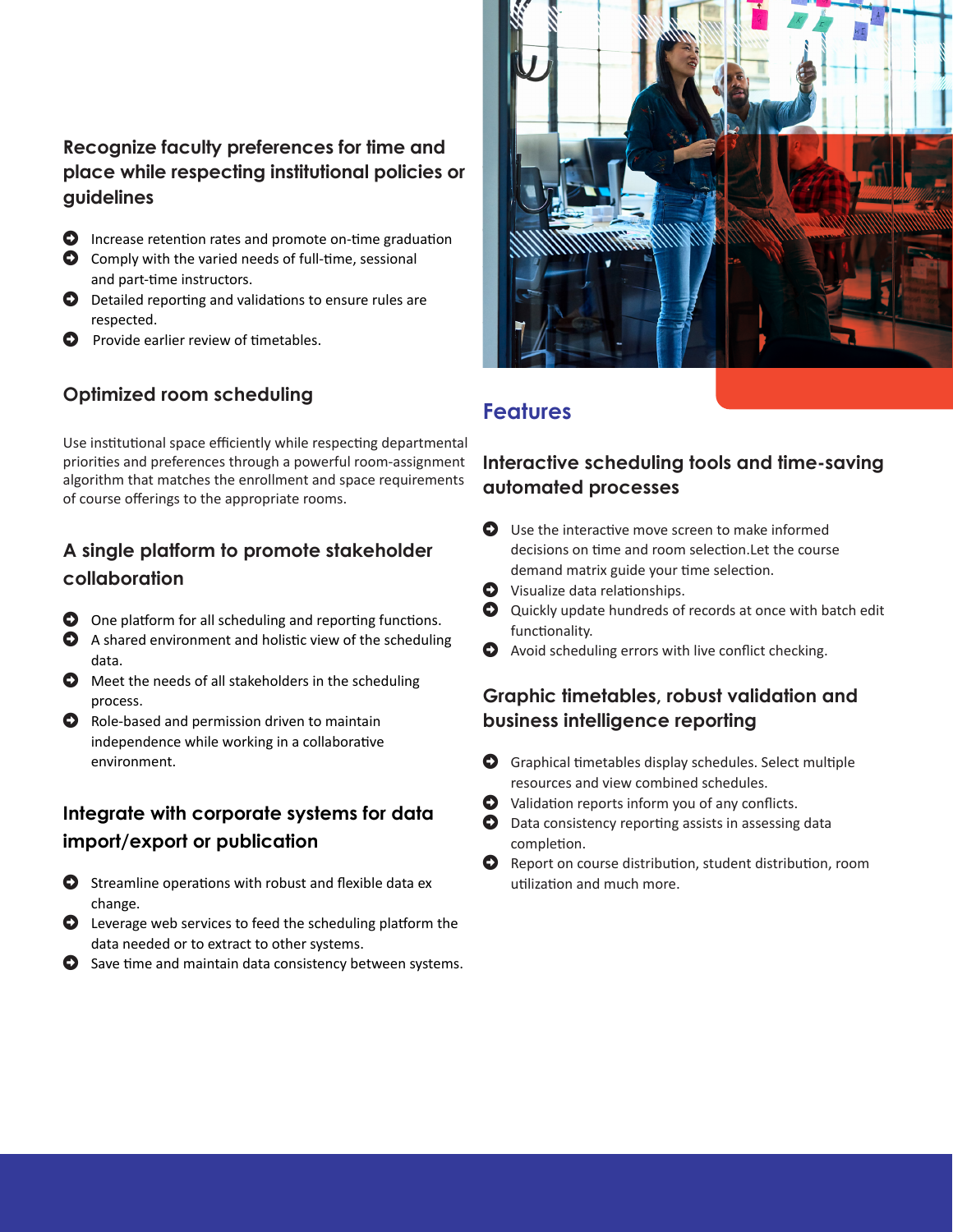## **Recognize faculty preferences for time and place while respecting institutional policies or guidelines**

- $\bullet$  Increase retention rates and promote on-time graduation
- $\bullet$  Comply with the varied needs of full-time, sessional and part-time instructors.
- $\bullet$  Detailed reporting and validations to ensure rules are respected.
- $\bullet$  Provide earlier review of timetables.

## **Optimized room scheduling**

Use institutional space efficiently while respecting departmental priorities and preferences through a powerful room-assignment algorithm that matches the enrollment and space requirements of course offerings to the appropriate rooms.

## **A single platform to promote stakeholder collaboration**

- $\bullet$  One platform for all scheduling and reporting functions.
- $\bullet$  A shared environment and holistic view of the scheduling data.
- $\bullet$  Meet the needs of all stakeholders in the scheduling process.
- $\bullet$  Role-based and permission driven to maintain independence while working in a collaborative environment.

## **Integrate with corporate systems for data import/export or publication**

- $\bullet$  Streamline operations with robust and flexible data ex change.
- $\bullet$  Leverage web services to feed the scheduling platform the data needed or to extract to other systems.
- $\bullet$  Save time and maintain data consistency between systems.



## **Features**

## **Interactive scheduling tools and time-saving automated processes**

- $\bullet$  Use the interactive move screen to make informed decisions on time and room selection.Let the course demand matrix guide your time selection.
- $\bullet$  Visualize data relationships.
- $\bullet$  Quickly update hundreds of records at once with batch edit functionality.
- $\bullet$  Avoid scheduling errors with live conflict checking.

#### **Graphic timetables, robust validation and business intelligence reporting**

- $\bullet$  Graphical timetables display schedules. Select multiple resources and view combined schedules.
- $\bullet$  Validation reports inform you of any conflicts.
- $\bullet$  Data consistency reporting assists in assessing data completion.
- **O** Report on course distribution, student distribution, room utilization and much more.